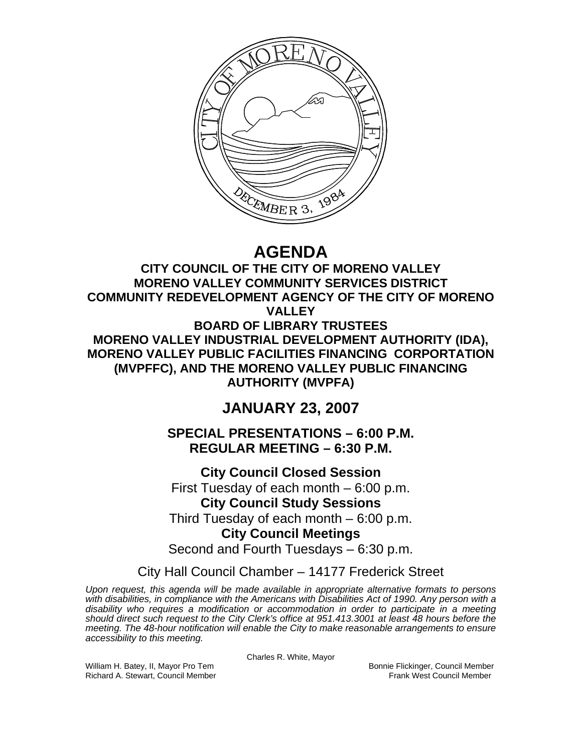

**AGENDA** 

**CITY COUNCIL OF THE CITY OF MORENO VALLEY MORENO VALLEY COMMUNITY SERVICES DISTRICT COMMUNITY REDEVELOPMENT AGENCY OF THE CITY OF MORENO VALLEY BOARD OF LIBRARY TRUSTEES MORENO VALLEY INDUSTRIAL DEVELOPMENT AUTHORITY (IDA), MORENO VALLEY PUBLIC FACILITIES FINANCING CORPORTATION (MVPFFC), AND THE MORENO VALLEY PUBLIC FINANCING AUTHORITY (MVPFA)** 

**JANUARY 23, 2007** 

**SPECIAL PRESENTATIONS – 6:00 P.M. REGULAR MEETING – 6:30 P.M.** 

**City Council Closed Session**  First Tuesday of each month – 6:00 p.m. **City Council Study Sessions**  Third Tuesday of each month – 6:00 p.m. **City Council Meetings**  Second and Fourth Tuesdays – 6:30 p.m.

City Hall Council Chamber – 14177 Frederick Street

*Upon request, this agenda will be made available in appropriate alternative formats to persons with disabilities, in compliance with the Americans with Disabilities Act of 1990. Any person with a disability who requires a modification or accommodation in order to participate in a meeting should direct such request to the City Clerk's office at 951.413.3001 at least 48 hours before the meeting. The 48-hour notification will enable the City to make reasonable arrangements to ensure accessibility to this meeting.* 

Charles R. White, Mayor

William H. Batey, II, Mayor Pro Tem Bonnie Flickinger, Council Member Richard A. Stewart, Council Member Frank West Council Member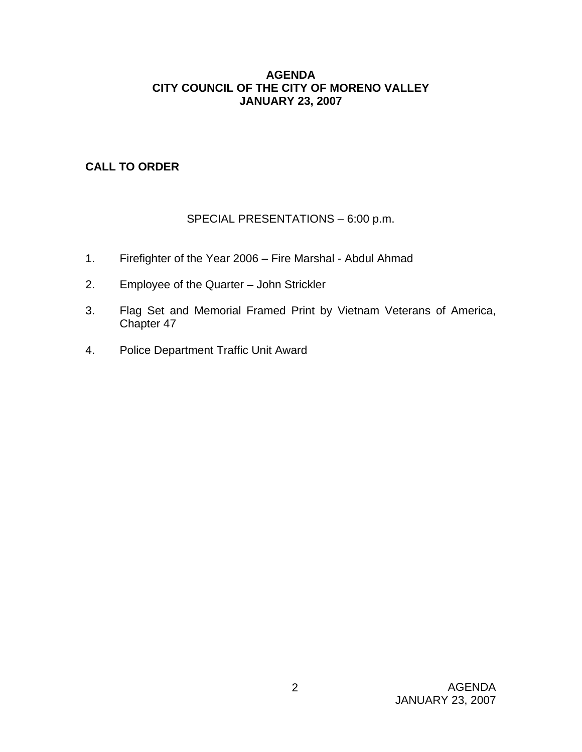### **AGENDA CITY COUNCIL OF THE CITY OF MORENO VALLEY JANUARY 23, 2007**

# **CALL TO ORDER**

# SPECIAL PRESENTATIONS – 6:00 p.m.

- 1. Firefighter of the Year 2006 Fire Marshal Abdul Ahmad
- 2. Employee of the Quarter John Strickler
- 3. Flag Set and Memorial Framed Print by Vietnam Veterans of America, Chapter 47
- 4. Police Department Traffic Unit Award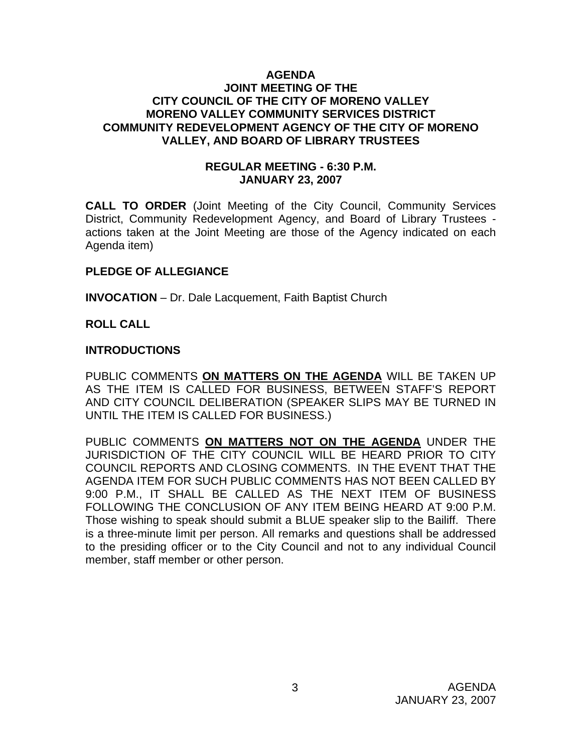#### **AGENDA JOINT MEETING OF THE CITY COUNCIL OF THE CITY OF MORENO VALLEY MORENO VALLEY COMMUNITY SERVICES DISTRICT COMMUNITY REDEVELOPMENT AGENCY OF THE CITY OF MORENO VALLEY, AND BOARD OF LIBRARY TRUSTEES**

### **REGULAR MEETING - 6:30 P.M. JANUARY 23, 2007**

**CALL TO ORDER** (Joint Meeting of the City Council, Community Services District, Community Redevelopment Agency, and Board of Library Trustees actions taken at the Joint Meeting are those of the Agency indicated on each Agenda item)

### **PLEDGE OF ALLEGIANCE**

**INVOCATION** – Dr. Dale Lacquement, Faith Baptist Church

### **ROLL CALL**

#### **INTRODUCTIONS**

PUBLIC COMMENTS **ON MATTERS ON THE AGENDA** WILL BE TAKEN UP AS THE ITEM IS CALLED FOR BUSINESS, BETWEEN STAFF'S REPORT AND CITY COUNCIL DELIBERATION (SPEAKER SLIPS MAY BE TURNED IN UNTIL THE ITEM IS CALLED FOR BUSINESS.)

PUBLIC COMMENTS **ON MATTERS NOT ON THE AGENDA** UNDER THE JURISDICTION OF THE CITY COUNCIL WILL BE HEARD PRIOR TO CITY COUNCIL REPORTS AND CLOSING COMMENTS. IN THE EVENT THAT THE AGENDA ITEM FOR SUCH PUBLIC COMMENTS HAS NOT BEEN CALLED BY 9:00 P.M., IT SHALL BE CALLED AS THE NEXT ITEM OF BUSINESS FOLLOWING THE CONCLUSION OF ANY ITEM BEING HEARD AT 9:00 P.M. Those wishing to speak should submit a BLUE speaker slip to the Bailiff. There is a three-minute limit per person. All remarks and questions shall be addressed to the presiding officer or to the City Council and not to any individual Council member, staff member or other person.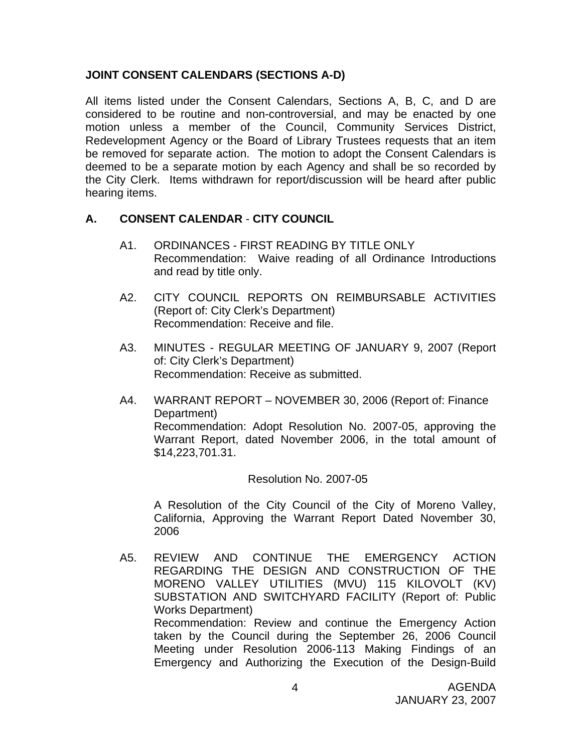### **JOINT CONSENT CALENDARS (SECTIONS A-D)**

All items listed under the Consent Calendars, Sections A, B, C, and D are considered to be routine and non-controversial, and may be enacted by one motion unless a member of the Council, Community Services District, Redevelopment Agency or the Board of Library Trustees requests that an item be removed for separate action. The motion to adopt the Consent Calendars is deemed to be a separate motion by each Agency and shall be so recorded by the City Clerk. Items withdrawn for report/discussion will be heard after public hearing items.

### **A. CONSENT CALENDAR** - **CITY COUNCIL**

- A1. ORDINANCES FIRST READING BY TITLE ONLY Recommendation: Waive reading of all Ordinance Introductions and read by title only.
- A2. CITY COUNCIL REPORTS ON REIMBURSABLE ACTIVITIES (Report of: City Clerk's Department) Recommendation: Receive and file.
- A3. MINUTES REGULAR MEETING OF JANUARY 9, 2007 (Report of: City Clerk's Department) Recommendation: Receive as submitted.
- A4. WARRANT REPORT NOVEMBER 30, 2006 (Report of: Finance Department) Recommendation: Adopt Resolution No. 2007-05, approving the Warrant Report, dated November 2006, in the total amount of \$14,223,701.31.

### Resolution No. 2007-05

 A Resolution of the City Council of the City of Moreno Valley, California, Approving the Warrant Report Dated November 30, 2006

A5. REVIEW AND CONTINUE THE EMERGENCY ACTION REGARDING THE DESIGN AND CONSTRUCTION OF THE MORENO VALLEY UTILITIES (MVU) 115 KILOVOLT (KV) SUBSTATION AND SWITCHYARD FACILITY (Report of: Public Works Department) Recommendation: Review and continue the Emergency Action taken by the Council during the September 26, 2006 Council Meeting under Resolution 2006-113 Making Findings of an Emergency and Authorizing the Execution of the Design-Build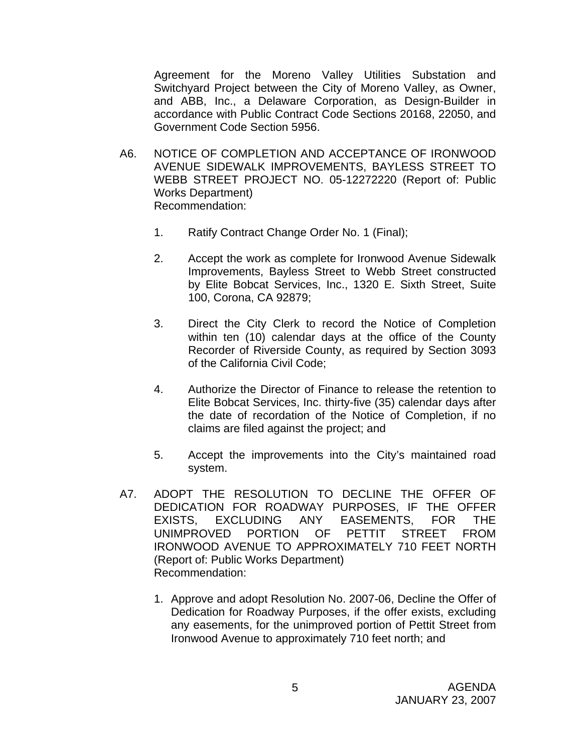Agreement for the Moreno Valley Utilities Substation and Switchyard Project between the City of Moreno Valley, as Owner, and ABB, Inc., a Delaware Corporation, as Design-Builder in accordance with Public Contract Code Sections 20168, 22050, and Government Code Section 5956.

- A6. NOTICE OF COMPLETION AND ACCEPTANCE OF IRONWOOD AVENUE SIDEWALK IMPROVEMENTS, BAYLESS STREET TO WEBB STREET PROJECT NO. 05-12272220 (Report of: Public Works Department) Recommendation:
	- 1. Ratify Contract Change Order No. 1 (Final);
	- 2. Accept the work as complete for Ironwood Avenue Sidewalk Improvements, Bayless Street to Webb Street constructed by Elite Bobcat Services, Inc., 1320 E. Sixth Street, Suite 100, Corona, CA 92879;
	- 3. Direct the City Clerk to record the Notice of Completion within ten (10) calendar days at the office of the County Recorder of Riverside County, as required by Section 3093 of the California Civil Code;
	- 4. Authorize the Director of Finance to release the retention to Elite Bobcat Services, Inc. thirty-five (35) calendar days after the date of recordation of the Notice of Completion, if no claims are filed against the project; and
	- 5. Accept the improvements into the City's maintained road system.
- A7. ADOPT THE RESOLUTION TO DECLINE THE OFFER OF DEDICATION FOR ROADWAY PURPOSES, IF THE OFFER EXISTS, EXCLUDING ANY EASEMENTS, FOR THE UNIMPROVED PORTION OF PETTIT STREET FROM IRONWOOD AVENUE TO APPROXIMATELY 710 FEET NORTH (Report of: Public Works Department) Recommendation:
	- 1. Approve and adopt Resolution No. 2007-06, Decline the Offer of Dedication for Roadway Purposes, if the offer exists, excluding any easements, for the unimproved portion of Pettit Street from Ironwood Avenue to approximately 710 feet north; and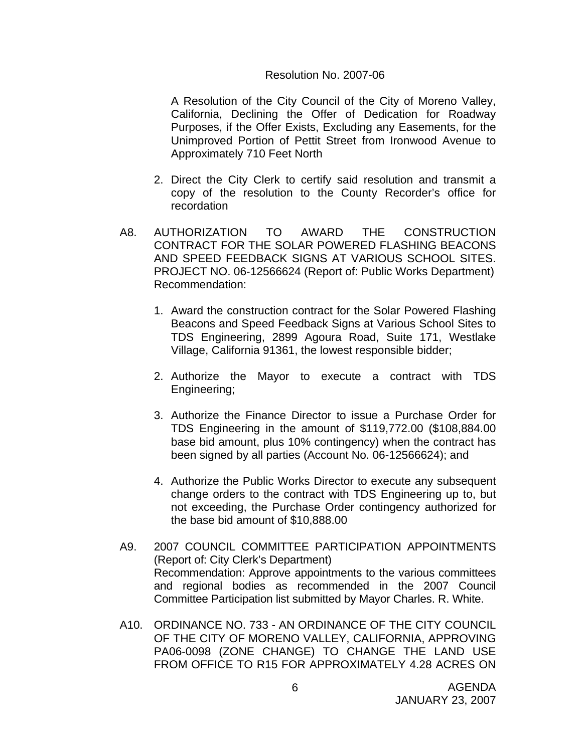#### Resolution No. 2007-06

A Resolution of the City Council of the City of Moreno Valley, California, Declining the Offer of Dedication for Roadway Purposes, if the Offer Exists, Excluding any Easements, for the Unimproved Portion of Pettit Street from Ironwood Avenue to Approximately 710 Feet North

- 2. Direct the City Clerk to certify said resolution and transmit a copy of the resolution to the County Recorder's office for recordation
- A8. AUTHORIZATION TO AWARD THE CONSTRUCTION CONTRACT FOR THE SOLAR POWERED FLASHING BEACONS AND SPEED FEEDBACK SIGNS AT VARIOUS SCHOOL SITES. PROJECT NO. 06-12566624 (Report of: Public Works Department) Recommendation:
	- 1. Award the construction contract for the Solar Powered Flashing Beacons and Speed Feedback Signs at Various School Sites to TDS Engineering, 2899 Agoura Road, Suite 171, Westlake Village, California 91361, the lowest responsible bidder;
	- 2. Authorize the Mayor to execute a contract with TDS Engineering;
	- 3. Authorize the Finance Director to issue a Purchase Order for TDS Engineering in the amount of \$119,772.00 (\$108,884.00 base bid amount, plus 10% contingency) when the contract has been signed by all parties (Account No. 06-12566624); and
	- 4. Authorize the Public Works Director to execute any subsequent change orders to the contract with TDS Engineering up to, but not exceeding, the Purchase Order contingency authorized for the base bid amount of \$10,888.00
- A9. 2007 COUNCIL COMMITTEE PARTICIPATION APPOINTMENTS (Report of: City Clerk's Department) Recommendation: Approve appointments to the various committees and regional bodies as recommended in the 2007 Council Committee Participation list submitted by Mayor Charles. R. White.
- A10. ORDINANCE NO. 733 AN ORDINANCE OF THE CITY COUNCIL OF THE CITY OF MORENO VALLEY, CALIFORNIA, APPROVING PA06-0098 (ZONE CHANGE) TO CHANGE THE LAND USE FROM OFFICE TO R15 FOR APPROXIMATELY 4.28 ACRES ON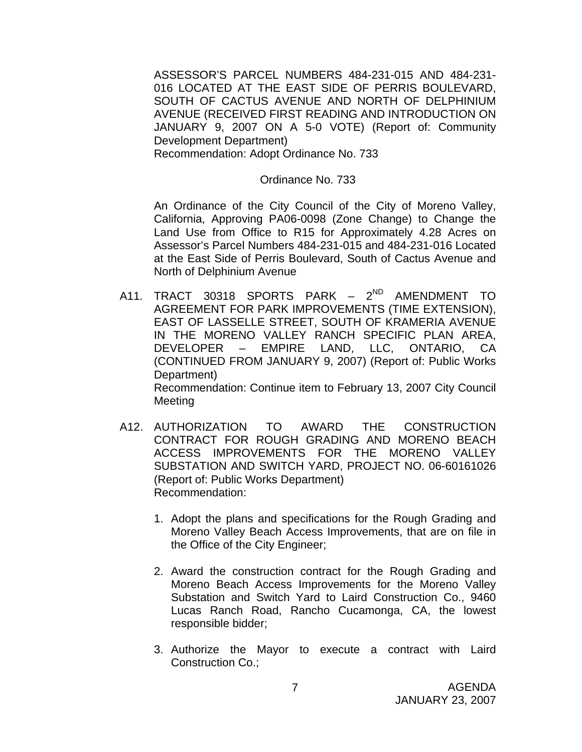ASSESSOR'S PARCEL NUMBERS 484-231-015 AND 484-231- 016 LOCATED AT THE EAST SIDE OF PERRIS BOULEVARD, SOUTH OF CACTUS AVENUE AND NORTH OF DELPHINIUM AVENUE (RECEIVED FIRST READING AND INTRODUCTION ON JANUARY 9, 2007 ON A 5-0 VOTE) (Report of: Community Development Department) Recommendation: Adopt Ordinance No. 733

#### Ordinance No. 733

 An Ordinance of the City Council of the City of Moreno Valley, California, Approving PA06-0098 (Zone Change) to Change the Land Use from Office to R15 for Approximately 4.28 Acres on Assessor's Parcel Numbers 484-231-015 and 484-231-016 Located at the East Side of Perris Boulevard, South of Cactus Avenue and North of Delphinium Avenue

- A11. TRACT 30318 SPORTS PARK 2<sup>ND</sup> AMENDMENT TO AGREEMENT FOR PARK IMPROVEMENTS (TIME EXTENSION), EAST OF LASSELLE STREET, SOUTH OF KRAMERIA AVENUE IN THE MORENO VALLEY RANCH SPECIFIC PLAN AREA, DEVELOPER – EMPIRE LAND, LLC, ONTARIO, CA (CONTINUED FROM JANUARY 9, 2007) (Report of: Public Works Department) Recommendation: Continue item to February 13, 2007 City Council Meeting
- A12. AUTHORIZATION TO AWARD THE CONSTRUCTION CONTRACT FOR ROUGH GRADING AND MORENO BEACH ACCESS IMPROVEMENTS FOR THE MORENO VALLEY SUBSTATION AND SWITCH YARD, PROJECT NO. 06-60161026 (Report of: Public Works Department) Recommendation:
	- 1. Adopt the plans and specifications for the Rough Grading and Moreno Valley Beach Access Improvements, that are on file in the Office of the City Engineer;
	- 2. Award the construction contract for the Rough Grading and Moreno Beach Access Improvements for the Moreno Valley Substation and Switch Yard to Laird Construction Co., 9460 Lucas Ranch Road, Rancho Cucamonga, CA, the lowest responsible bidder;
	- 3. Authorize the Mayor to execute a contract with Laird Construction Co.;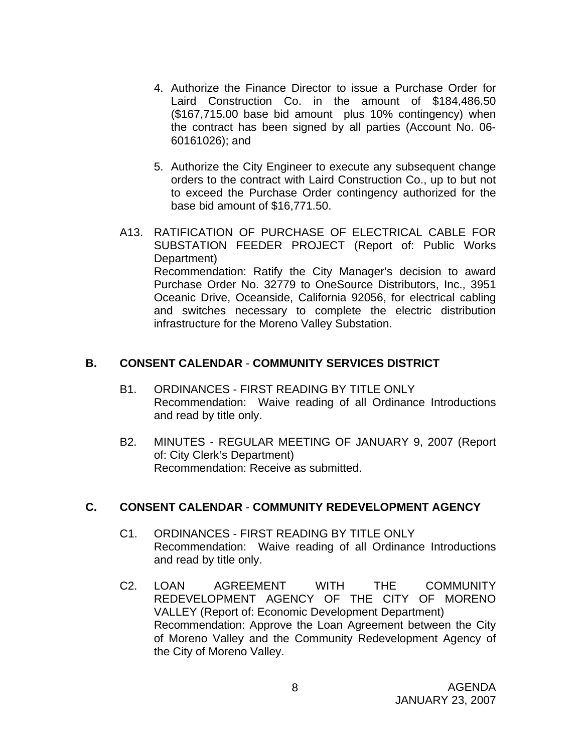- 4. Authorize the Finance Director to issue a Purchase Order for Laird Construction Co. in the amount of \$184,486.50 (\$167,715.00 base bid amount plus 10% contingency) when the contract has been signed by all parties (Account No. 06- 60161026); and
- 5. Authorize the City Engineer to execute any subsequent change orders to the contract with Laird Construction Co., up to but not to exceed the Purchase Order contingency authorized for the base bid amount of \$16,771.50.
- A13. RATIFICATION OF PURCHASE OF ELECTRICAL CABLE FOR SUBSTATION FEEDER PROJECT (Report of: Public Works Department) Recommendation: Ratify the City Manager's decision to award Purchase Order No. 32779 to OneSource Distributors, Inc., 3951 Oceanic Drive, Oceanside, California 92056, for electrical cabling and switches necessary to complete the electric distribution infrastructure for the Moreno Valley Substation.

### **B. CONSENT CALENDAR** - **COMMUNITY SERVICES DISTRICT**

- B1. ORDINANCES FIRST READING BY TITLE ONLY Recommendation: Waive reading of all Ordinance Introductions and read by title only.
- B2. MINUTES REGULAR MEETING OF JANUARY 9, 2007 (Report of: City Clerk's Department) Recommendation: Receive as submitted.

# **C. CONSENT CALENDAR** - **COMMUNITY REDEVELOPMENT AGENCY**

- C1. ORDINANCES FIRST READING BY TITLE ONLY Recommendation: Waive reading of all Ordinance Introductions and read by title only.
- C2. LOAN AGREEMENT WITH THE COMMUNITY REDEVELOPMENT AGENCY OF THE CITY OF MORENO VALLEY (Report of: Economic Development Department) Recommendation: Approve the Loan Agreement between the City of Moreno Valley and the Community Redevelopment Agency of the City of Moreno Valley.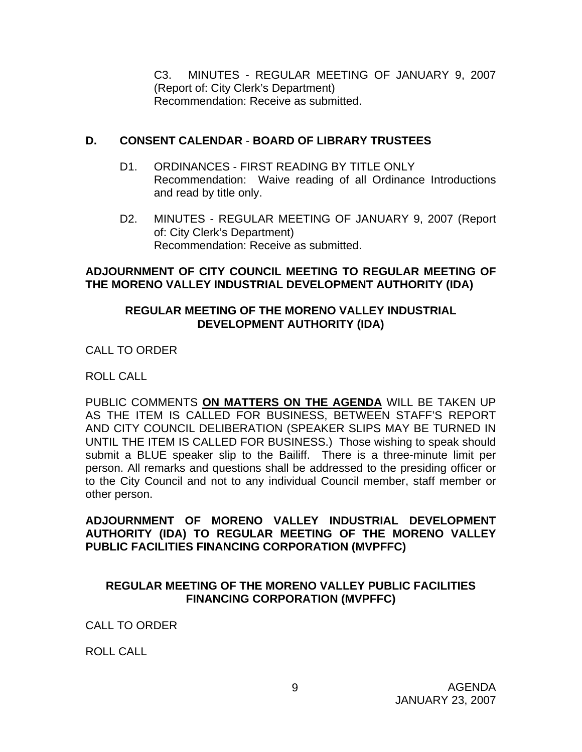C3. MINUTES - REGULAR MEETING OF JANUARY 9, 2007 (Report of: City Clerk's Department) Recommendation: Receive as submitted.

### **D. CONSENT CALENDAR** - **BOARD OF LIBRARY TRUSTEES**

- D1. ORDINANCES FIRST READING BY TITLE ONLY Recommendation: Waive reading of all Ordinance Introductions and read by title only.
- D2. MINUTES REGULAR MEETING OF JANUARY 9, 2007 (Report of: City Clerk's Department) Recommendation: Receive as submitted.

### **ADJOURNMENT OF CITY COUNCIL MEETING TO REGULAR MEETING OF THE MORENO VALLEY INDUSTRIAL DEVELOPMENT AUTHORITY (IDA)**

### **REGULAR MEETING OF THE MORENO VALLEY INDUSTRIAL DEVELOPMENT AUTHORITY (IDA)**

CALL TO ORDER

ROLL CALL

PUBLIC COMMENTS **ON MATTERS ON THE AGENDA** WILL BE TAKEN UP AS THE ITEM IS CALLED FOR BUSINESS, BETWEEN STAFF'S REPORT AND CITY COUNCIL DELIBERATION (SPEAKER SLIPS MAY BE TURNED IN UNTIL THE ITEM IS CALLED FOR BUSINESS.) Those wishing to speak should submit a BLUE speaker slip to the Bailiff. There is a three-minute limit per person. All remarks and questions shall be addressed to the presiding officer or to the City Council and not to any individual Council member, staff member or other person.

### **ADJOURNMENT OF MORENO VALLEY INDUSTRIAL DEVELOPMENT AUTHORITY (IDA) TO REGULAR MEETING OF THE MORENO VALLEY PUBLIC FACILITIES FINANCING CORPORATION (MVPFFC)**

# **REGULAR MEETING OF THE MORENO VALLEY PUBLIC FACILITIES FINANCING CORPORATION (MVPFFC)**

CALL TO ORDER

ROLL CALL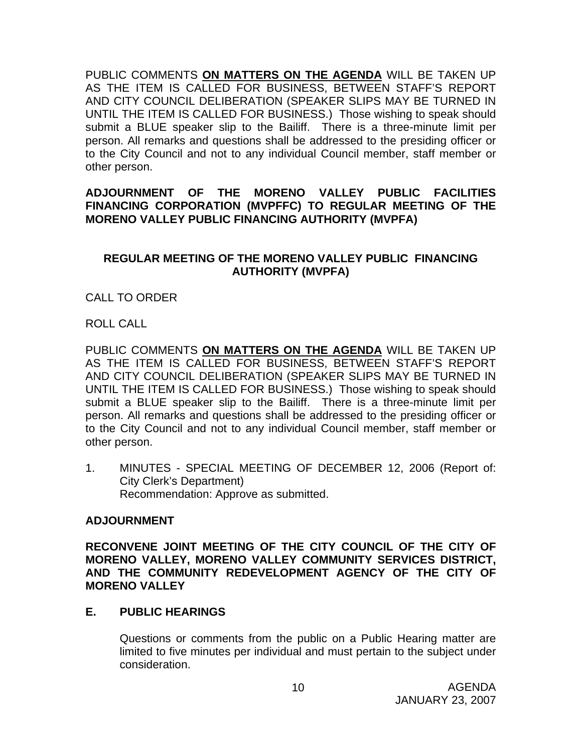PUBLIC COMMENTS **ON MATTERS ON THE AGENDA** WILL BE TAKEN UP AS THE ITEM IS CALLED FOR BUSINESS, BETWEEN STAFF'S REPORT AND CITY COUNCIL DELIBERATION (SPEAKER SLIPS MAY BE TURNED IN UNTIL THE ITEM IS CALLED FOR BUSINESS.) Those wishing to speak should submit a BLUE speaker slip to the Bailiff. There is a three-minute limit per person. All remarks and questions shall be addressed to the presiding officer or to the City Council and not to any individual Council member, staff member or other person.

### **ADJOURNMENT OF THE MORENO VALLEY PUBLIC FACILITIES FINANCING CORPORATION (MVPFFC) TO REGULAR MEETING OF THE MORENO VALLEY PUBLIC FINANCING AUTHORITY (MVPFA)**

### **REGULAR MEETING OF THE MORENO VALLEY PUBLIC FINANCING AUTHORITY (MVPFA)**

# CALL TO ORDER

ROLL CALL

PUBLIC COMMENTS **ON MATTERS ON THE AGENDA** WILL BE TAKEN UP AS THE ITEM IS CALLED FOR BUSINESS, BETWEEN STAFF'S REPORT AND CITY COUNCIL DELIBERATION (SPEAKER SLIPS MAY BE TURNED IN UNTIL THE ITEM IS CALLED FOR BUSINESS.) Those wishing to speak should submit a BLUE speaker slip to the Bailiff. There is a three-minute limit per person. All remarks and questions shall be addressed to the presiding officer or to the City Council and not to any individual Council member, staff member or other person.

1. MINUTES - SPECIAL MEETING OF DECEMBER 12, 2006 (Report of: City Clerk's Department) Recommendation: Approve as submitted.

### **ADJOURNMENT**

**RECONVENE JOINT MEETING OF THE CITY COUNCIL OF THE CITY OF MORENO VALLEY, MORENO VALLEY COMMUNITY SERVICES DISTRICT, AND THE COMMUNITY REDEVELOPMENT AGENCY OF THE CITY OF MORENO VALLEY**

### **E. PUBLIC HEARINGS**

Questions or comments from the public on a Public Hearing matter are limited to five minutes per individual and must pertain to the subject under consideration.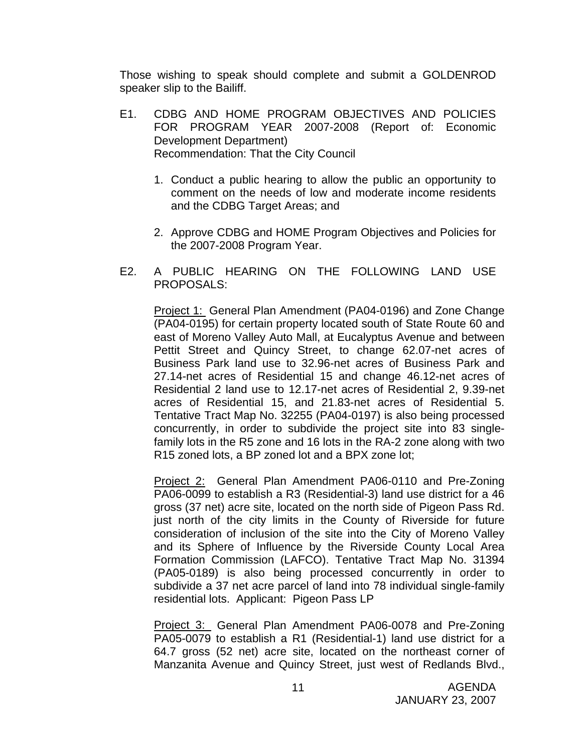Those wishing to speak should complete and submit a GOLDENROD speaker slip to the Bailiff.

- E1. CDBG AND HOME PROGRAM OBJECTIVES AND POLICIES FOR PROGRAM YEAR 2007-2008 (Report of: Economic Development Department) Recommendation: That the City Council
	- 1. Conduct a public hearing to allow the public an opportunity to comment on the needs of low and moderate income residents and the CDBG Target Areas; and
	- 2. Approve CDBG and HOME Program Objectives and Policies for the 2007-2008 Program Year.
- E2. A PUBLIC HEARING ON THE FOLLOWING LAND USE PROPOSALS:

 Project 1: General Plan Amendment (PA04-0196) and Zone Change (PA04-0195) for certain property located south of State Route 60 and east of Moreno Valley Auto Mall, at Eucalyptus Avenue and between Pettit Street and Quincy Street, to change 62.07-net acres of Business Park land use to 32.96-net acres of Business Park and 27.14-net acres of Residential 15 and change 46.12-net acres of Residential 2 land use to 12.17-net acres of Residential 2, 9.39-net acres of Residential 15, and 21.83-net acres of Residential 5. Tentative Tract Map No. 32255 (PA04-0197) is also being processed concurrently, in order to subdivide the project site into 83 singlefamily lots in the R5 zone and 16 lots in the RA-2 zone along with two R15 zoned lots, a BP zoned lot and a BPX zone lot;

Project 2: General Plan Amendment PA06-0110 and Pre-Zoning PA06-0099 to establish a R3 (Residential-3) land use district for a 46 gross (37 net) acre site, located on the north side of Pigeon Pass Rd. just north of the city limits in the County of Riverside for future consideration of inclusion of the site into the City of Moreno Valley and its Sphere of Influence by the Riverside County Local Area Formation Commission (LAFCO). Tentative Tract Map No. 31394 (PA05-0189) is also being processed concurrently in order to subdivide a 37 net acre parcel of land into 78 individual single-family residential lots. Applicant: Pigeon Pass LP

 Project 3: General Plan Amendment PA06-0078 and Pre-Zoning PA05-0079 to establish a R1 (Residential-1) land use district for a 64.7 gross (52 net) acre site, located on the northeast corner of Manzanita Avenue and Quincy Street, just west of Redlands Blvd.,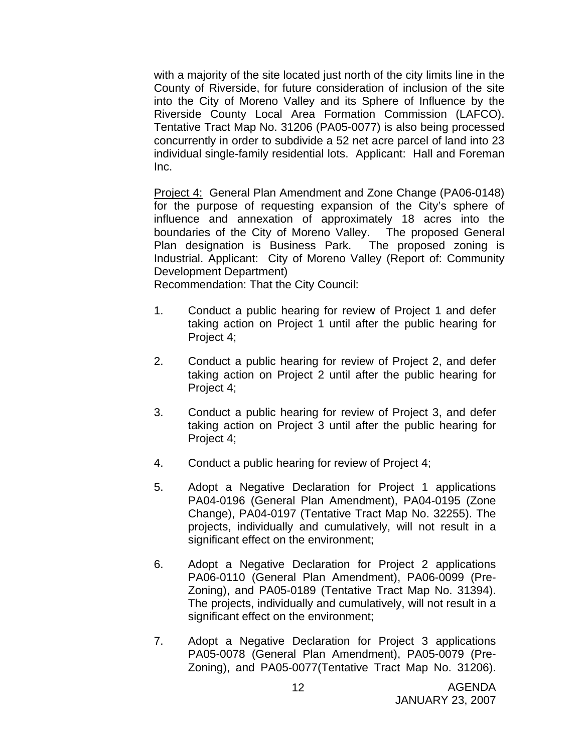with a majority of the site located just north of the city limits line in the County of Riverside, for future consideration of inclusion of the site into the City of Moreno Valley and its Sphere of Influence by the Riverside County Local Area Formation Commission (LAFCO). Tentative Tract Map No. 31206 (PA05-0077) is also being processed concurrently in order to subdivide a 52 net acre parcel of land into 23 individual single-family residential lots. Applicant: Hall and Foreman Inc.

 Project 4: General Plan Amendment and Zone Change (PA06-0148) for the purpose of requesting expansion of the City's sphere of influence and annexation of approximately 18 acres into the boundaries of the City of Moreno Valley. The proposed General Plan designation is Business Park. The proposed zoning is Industrial. Applicant: City of Moreno Valley (Report of: Community Development Department)

Recommendation: That the City Council:

- 1. Conduct a public hearing for review of Project 1 and defer taking action on Project 1 until after the public hearing for Project 4;
- 2. Conduct a public hearing for review of Project 2, and defer taking action on Project 2 until after the public hearing for Project 4;
- 3. Conduct a public hearing for review of Project 3, and defer taking action on Project 3 until after the public hearing for Project 4;
- 4. Conduct a public hearing for review of Project 4;
- 5. Adopt a Negative Declaration for Project 1 applications PA04-0196 (General Plan Amendment), PA04-0195 (Zone Change), PA04-0197 (Tentative Tract Map No. 32255). The projects, individually and cumulatively, will not result in a significant effect on the environment;
- 6. Adopt a Negative Declaration for Project 2 applications PA06-0110 (General Plan Amendment), PA06-0099 (Pre-Zoning), and PA05-0189 (Tentative Tract Map No. 31394). The projects, individually and cumulatively, will not result in a significant effect on the environment;
- 7. Adopt a Negative Declaration for Project 3 applications PA05-0078 (General Plan Amendment), PA05-0079 (Pre-Zoning), and PA05-0077(Tentative Tract Map No. 31206).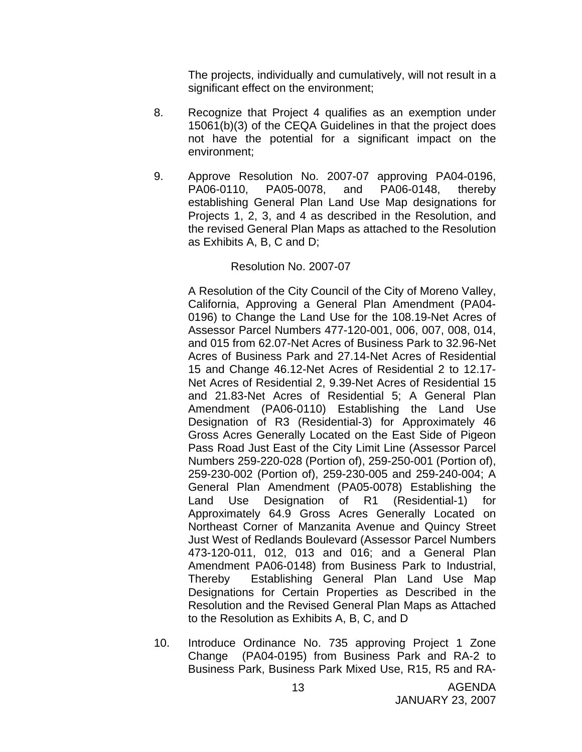The projects, individually and cumulatively, will not result in a significant effect on the environment;

- 8. Recognize that Project 4 qualifies as an exemption under 15061(b)(3) of the CEQA Guidelines in that the project does not have the potential for a significant impact on the environment;
- 9. Approve Resolution No. 2007-07 approving PA04-0196, PA06-0110, PA05-0078, and PA06-0148, thereby establishing General Plan Land Use Map designations for Projects 1, 2, 3, and 4 as described in the Resolution, and the revised General Plan Maps as attached to the Resolution as Exhibits A, B, C and D;

#### Resolution No. 2007-07

A Resolution of the City Council of the City of Moreno Valley, California, Approving a General Plan Amendment (PA04- 0196) to Change the Land Use for the 108.19-Net Acres of Assessor Parcel Numbers 477-120-001, 006, 007, 008, 014, and 015 from 62.07-Net Acres of Business Park to 32.96-Net Acres of Business Park and 27.14-Net Acres of Residential 15 and Change 46.12-Net Acres of Residential 2 to 12.17- Net Acres of Residential 2, 9.39-Net Acres of Residential 15 and 21.83-Net Acres of Residential 5; A General Plan Amendment (PA06-0110) Establishing the Land Use Designation of R3 (Residential-3) for Approximately 46 Gross Acres Generally Located on the East Side of Pigeon Pass Road Just East of the City Limit Line (Assessor Parcel Numbers 259-220-028 (Portion of), 259-250-001 (Portion of), 259-230-002 (Portion of), 259-230-005 and 259-240-004; A General Plan Amendment (PA05-0078) Establishing the Land Use Designation of R1 (Residential-1) for Approximately 64.9 Gross Acres Generally Located on Northeast Corner of Manzanita Avenue and Quincy Street Just West of Redlands Boulevard (Assessor Parcel Numbers 473-120-011, 012, 013 and 016; and a General Plan Amendment PA06-0148) from Business Park to Industrial, Thereby Establishing General Plan Land Use Map Designations for Certain Properties as Described in the Resolution and the Revised General Plan Maps as Attached to the Resolution as Exhibits A, B, C, and D

10. Introduce Ordinance No. 735 approving Project 1 Zone Change (PA04-0195) from Business Park and RA-2 to Business Park, Business Park Mixed Use, R15, R5 and RA-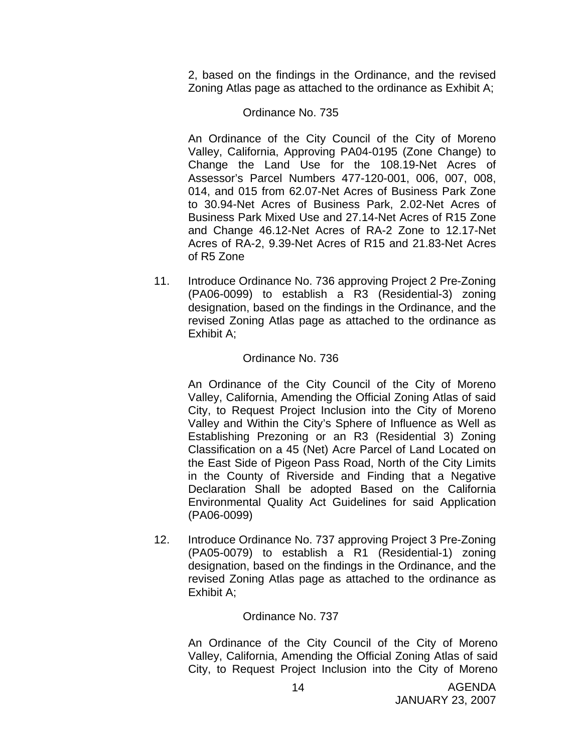2, based on the findings in the Ordinance, and the revised Zoning Atlas page as attached to the ordinance as Exhibit A;

#### Ordinance No. 735

An Ordinance of the City Council of the City of Moreno Valley, California, Approving PA04-0195 (Zone Change) to Change the Land Use for the 108.19-Net Acres of Assessor's Parcel Numbers 477-120-001, 006, 007, 008, 014, and 015 from 62.07-Net Acres of Business Park Zone to 30.94-Net Acres of Business Park, 2.02-Net Acres of Business Park Mixed Use and 27.14-Net Acres of R15 Zone and Change 46.12-Net Acres of RA-2 Zone to 12.17-Net Acres of RA-2, 9.39-Net Acres of R15 and 21.83-Net Acres of R5 Zone

11. Introduce Ordinance No. 736 approving Project 2 Pre-Zoning (PA06-0099) to establish a R3 (Residential-3) zoning designation, based on the findings in the Ordinance, and the revised Zoning Atlas page as attached to the ordinance as Exhibit A;

#### Ordinance No. 736

An Ordinance of the City Council of the City of Moreno Valley, California, Amending the Official Zoning Atlas of said City, to Request Project Inclusion into the City of Moreno Valley and Within the City's Sphere of Influence as Well as Establishing Prezoning or an R3 (Residential 3) Zoning Classification on a 45 (Net) Acre Parcel of Land Located on the East Side of Pigeon Pass Road, North of the City Limits in the County of Riverside and Finding that a Negative Declaration Shall be adopted Based on the California Environmental Quality Act Guidelines for said Application (PA06-0099)

12. Introduce Ordinance No. 737 approving Project 3 Pre-Zoning (PA05-0079) to establish a R1 (Residential-1) zoning designation, based on the findings in the Ordinance, and the revised Zoning Atlas page as attached to the ordinance as Exhibit A;

### Ordinance No. 737

An Ordinance of the City Council of the City of Moreno Valley, California, Amending the Official Zoning Atlas of said City, to Request Project Inclusion into the City of Moreno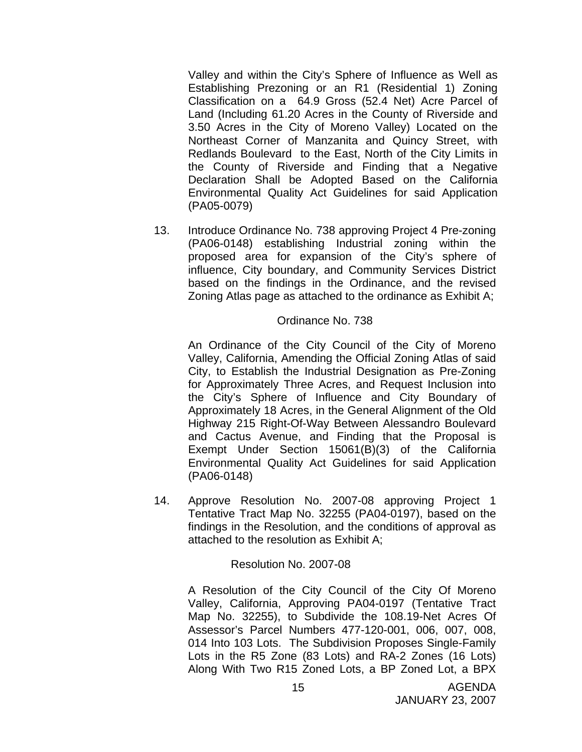Valley and within the City's Sphere of Influence as Well as Establishing Prezoning or an R1 (Residential 1) Zoning Classification on a 64.9 Gross (52.4 Net) Acre Parcel of Land (Including 61.20 Acres in the County of Riverside and 3.50 Acres in the City of Moreno Valley) Located on the Northeast Corner of Manzanita and Quincy Street, with Redlands Boulevard to the East, North of the City Limits in the County of Riverside and Finding that a Negative Declaration Shall be Adopted Based on the California Environmental Quality Act Guidelines for said Application (PA05-0079)

13. Introduce Ordinance No. 738 approving Project 4 Pre-zoning (PA06-0148) establishing Industrial zoning within the proposed area for expansion of the City's sphere of influence, City boundary, and Community Services District based on the findings in the Ordinance, and the revised Zoning Atlas page as attached to the ordinance as Exhibit A;

#### Ordinance No. 738

An Ordinance of the City Council of the City of Moreno Valley, California, Amending the Official Zoning Atlas of said City, to Establish the Industrial Designation as Pre-Zoning for Approximately Three Acres, and Request Inclusion into the City's Sphere of Influence and City Boundary of Approximately 18 Acres, in the General Alignment of the Old Highway 215 Right-Of-Way Between Alessandro Boulevard and Cactus Avenue, and Finding that the Proposal is Exempt Under Section 15061(B)(3) of the California Environmental Quality Act Guidelines for said Application (PA06-0148)

14. Approve Resolution No. 2007-08 approving Project 1 Tentative Tract Map No. 32255 (PA04-0197), based on the findings in the Resolution, and the conditions of approval as attached to the resolution as Exhibit A;

### Resolution No. 2007-08

A Resolution of the City Council of the City Of Moreno Valley, California, Approving PA04-0197 (Tentative Tract Map No. 32255), to Subdivide the 108.19-Net Acres Of Assessor's Parcel Numbers 477-120-001, 006, 007, 008, 014 Into 103 Lots. The Subdivision Proposes Single-Family Lots in the R5 Zone (83 Lots) and RA-2 Zones (16 Lots) Along With Two R15 Zoned Lots, a BP Zoned Lot, a BPX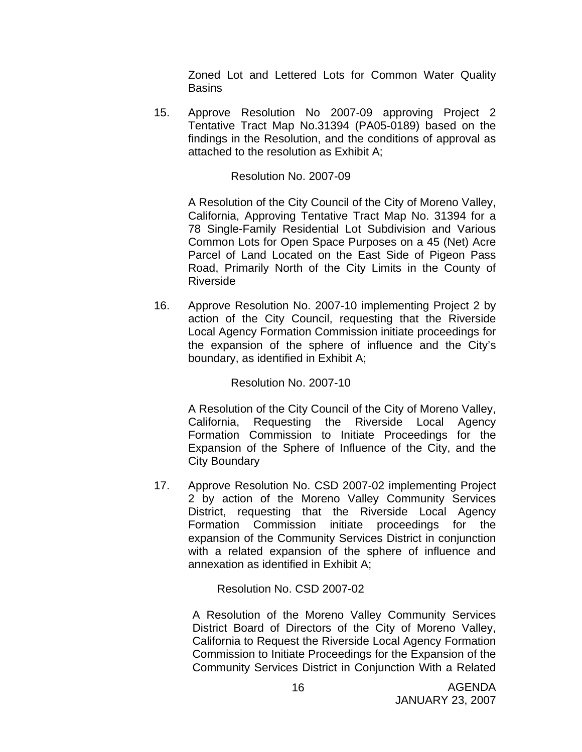Zoned Lot and Lettered Lots for Common Water Quality **Basins** 

15. Approve Resolution No 2007-09 approving Project 2 Tentative Tract Map No.31394 (PA05-0189) based on the findings in the Resolution, and the conditions of approval as attached to the resolution as Exhibit A;

### Resolution No. 2007-09

A Resolution of the City Council of the City of Moreno Valley, California, Approving Tentative Tract Map No. 31394 for a 78 Single-Family Residential Lot Subdivision and Various Common Lots for Open Space Purposes on a 45 (Net) Acre Parcel of Land Located on the East Side of Pigeon Pass Road, Primarily North of the City Limits in the County of Riverside

16. Approve Resolution No. 2007-10 implementing Project 2 by action of the City Council, requesting that the Riverside Local Agency Formation Commission initiate proceedings for the expansion of the sphere of influence and the City's boundary, as identified in Exhibit A;

Resolution No. 2007-10

A Resolution of the City Council of the City of Moreno Valley, California, Requesting the Riverside Local Agency Formation Commission to Initiate Proceedings for the Expansion of the Sphere of Influence of the City, and the City Boundary

17. Approve Resolution No. CSD 2007-02 implementing Project 2 by action of the Moreno Valley Community Services District, requesting that the Riverside Local Agency Formation Commission initiate proceedings for the expansion of the Community Services District in conjunction with a related expansion of the sphere of influence and annexation as identified in Exhibit A;

Resolution No. CSD 2007-02

A Resolution of the Moreno Valley Community Services District Board of Directors of the City of Moreno Valley, California to Request the Riverside Local Agency Formation Commission to Initiate Proceedings for the Expansion of the Community Services District in Conjunction With a Related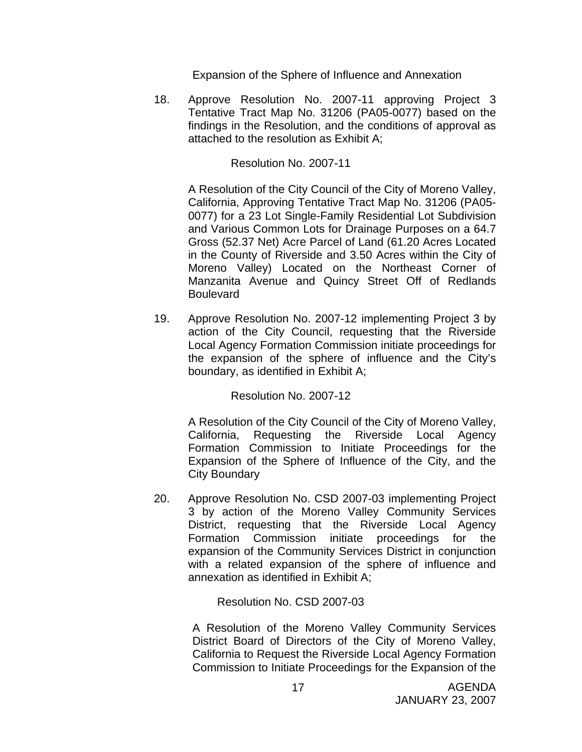Expansion of the Sphere of Influence and Annexation

18. Approve Resolution No. 2007-11 approving Project 3 Tentative Tract Map No. 31206 (PA05-0077) based on the findings in the Resolution, and the conditions of approval as attached to the resolution as Exhibit A;

Resolution No. 2007-11

A Resolution of the City Council of the City of Moreno Valley, California, Approving Tentative Tract Map No. 31206 (PA05- 0077) for a 23 Lot Single-Family Residential Lot Subdivision and Various Common Lots for Drainage Purposes on a 64.7 Gross (52.37 Net) Acre Parcel of Land (61.20 Acres Located in the County of Riverside and 3.50 Acres within the City of Moreno Valley) Located on the Northeast Corner of Manzanita Avenue and Quincy Street Off of Redlands **Boulevard** 

19. Approve Resolution No. 2007-12 implementing Project 3 by action of the City Council, requesting that the Riverside Local Agency Formation Commission initiate proceedings for the expansion of the sphere of influence and the City's boundary, as identified in Exhibit A;

Resolution No. 2007-12

A Resolution of the City Council of the City of Moreno Valley, California, Requesting the Riverside Local Agency Formation Commission to Initiate Proceedings for the Expansion of the Sphere of Influence of the City, and the City Boundary

20. Approve Resolution No. CSD 2007-03 implementing Project 3 by action of the Moreno Valley Community Services District, requesting that the Riverside Local Agency Formation Commission initiate proceedings for the expansion of the Community Services District in conjunction with a related expansion of the sphere of influence and annexation as identified in Exhibit A;

Resolution No. CSD 2007-03

A Resolution of the Moreno Valley Community Services District Board of Directors of the City of Moreno Valley, California to Request the Riverside Local Agency Formation Commission to Initiate Proceedings for the Expansion of the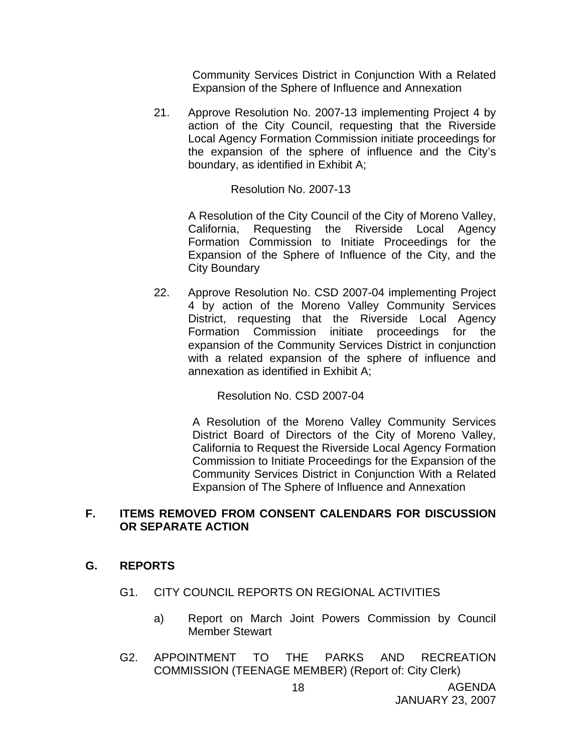Community Services District in Conjunction With a Related Expansion of the Sphere of Influence and Annexation

21. Approve Resolution No. 2007-13 implementing Project 4 by action of the City Council, requesting that the Riverside Local Agency Formation Commission initiate proceedings for the expansion of the sphere of influence and the City's boundary, as identified in Exhibit A;

### Resolution No. 2007-13

A Resolution of the City Council of the City of Moreno Valley, California, Requesting the Riverside Local Agency Formation Commission to Initiate Proceedings for the Expansion of the Sphere of Influence of the City, and the City Boundary

22. Approve Resolution No. CSD 2007-04 implementing Project 4 by action of the Moreno Valley Community Services District, requesting that the Riverside Local Agency Formation Commission initiate proceedings for the expansion of the Community Services District in conjunction with a related expansion of the sphere of influence and annexation as identified in Exhibit A;

Resolution No. CSD 2007-04

A Resolution of the Moreno Valley Community Services District Board of Directors of the City of Moreno Valley, California to Request the Riverside Local Agency Formation Commission to Initiate Proceedings for the Expansion of the Community Services District in Conjunction With a Related Expansion of The Sphere of Influence and Annexation

### **F. ITEMS REMOVED FROM CONSENT CALENDARS FOR DISCUSSION OR SEPARATE ACTION**

# **G. REPORTS**

- G1. CITY COUNCIL REPORTS ON REGIONAL ACTIVITIES
	- a) Report on March Joint Powers Commission by Council Member Stewart
- G2. APPOINTMENT TO THE PARKS AND RECREATION COMMISSION (TEENAGE MEMBER) (Report of: City Clerk)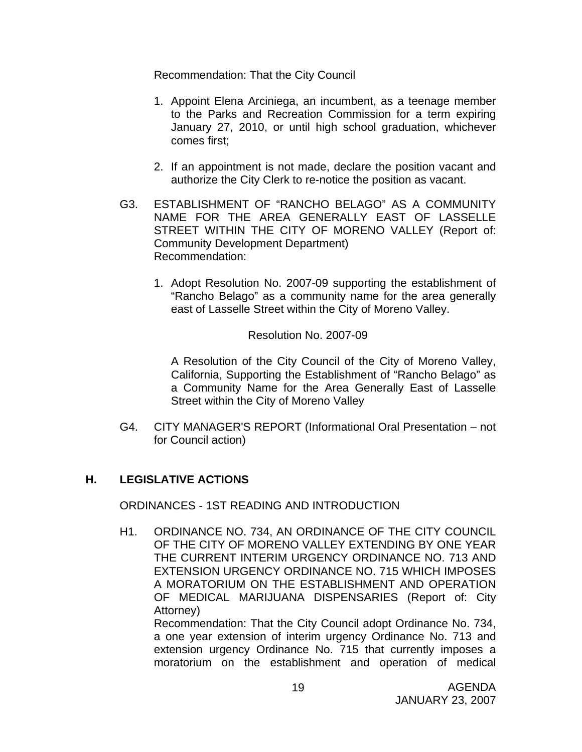Recommendation: That the City Council

- 1. Appoint Elena Arciniega, an incumbent, as a teenage member to the Parks and Recreation Commission for a term expiring January 27, 2010, or until high school graduation, whichever comes first;
- 2. If an appointment is not made, declare the position vacant and authorize the City Clerk to re-notice the position as vacant.
- G3. ESTABLISHMENT OF "RANCHO BELAGO" AS A COMMUNITY NAME FOR THE AREA GENERALLY EAST OF LASSELLE STREET WITHIN THE CITY OF MORENO VALLEY (Report of: Community Development Department) Recommendation:
	- 1. Adopt Resolution No. 2007-09 supporting the establishment of "Rancho Belago" as a community name for the area generally east of Lasselle Street within the City of Moreno Valley.

Resolution No. 2007-09

A Resolution of the City Council of the City of Moreno Valley, California, Supporting the Establishment of "Rancho Belago" as a Community Name for the Area Generally East of Lasselle Street within the City of Moreno Valley

G4. CITY MANAGER'S REPORT (Informational Oral Presentation – not for Council action)

# **H. LEGISLATIVE ACTIONS**

ORDINANCES - 1ST READING AND INTRODUCTION

H1. ORDINANCE NO. 734, AN ORDINANCE OF THE CITY COUNCIL OF THE CITY OF MORENO VALLEY EXTENDING BY ONE YEAR THE CURRENT INTERIM URGENCY ORDINANCE NO. 713 AND EXTENSION URGENCY ORDINANCE NO. 715 WHICH IMPOSES A MORATORIUM ON THE ESTABLISHMENT AND OPERATION OF MEDICAL MARIJUANA DISPENSARIES (Report of: City Attorney)

 Recommendation: That the City Council adopt Ordinance No. 734, a one year extension of interim urgency Ordinance No. 713 and extension urgency Ordinance No. 715 that currently imposes a moratorium on the establishment and operation of medical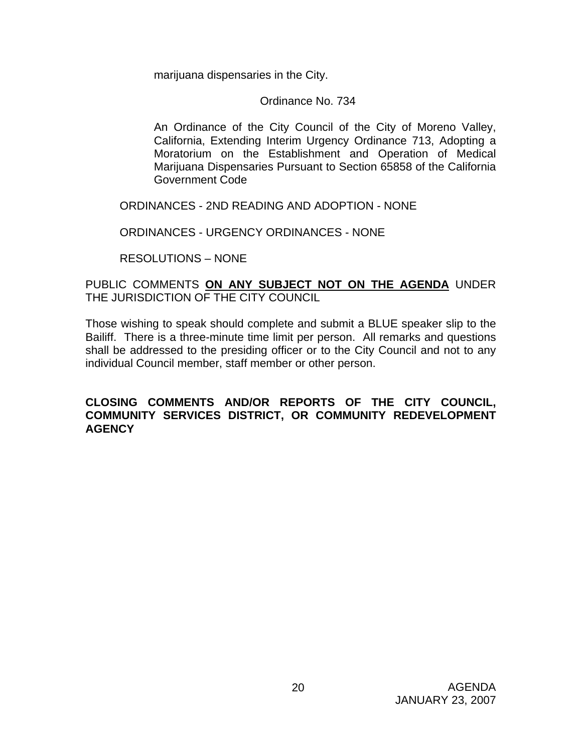marijuana dispensaries in the City.

Ordinance No. 734

 An Ordinance of the City Council of the City of Moreno Valley, California, Extending Interim Urgency Ordinance 713, Adopting a Moratorium on the Establishment and Operation of Medical Marijuana Dispensaries Pursuant to Section 65858 of the California Government Code

ORDINANCES - 2ND READING AND ADOPTION - NONE

ORDINANCES - URGENCY ORDINANCES - NONE

RESOLUTIONS – NONE

### PUBLIC COMMENTS **ON ANY SUBJECT NOT ON THE AGENDA** UNDER THE JURISDICTION OF THE CITY COUNCIL

Those wishing to speak should complete and submit a BLUE speaker slip to the Bailiff. There is a three-minute time limit per person. All remarks and questions shall be addressed to the presiding officer or to the City Council and not to any individual Council member, staff member or other person.

### **CLOSING COMMENTS AND/OR REPORTS OF THE CITY COUNCIL, COMMUNITY SERVICES DISTRICT, OR COMMUNITY REDEVELOPMENT AGENCY**